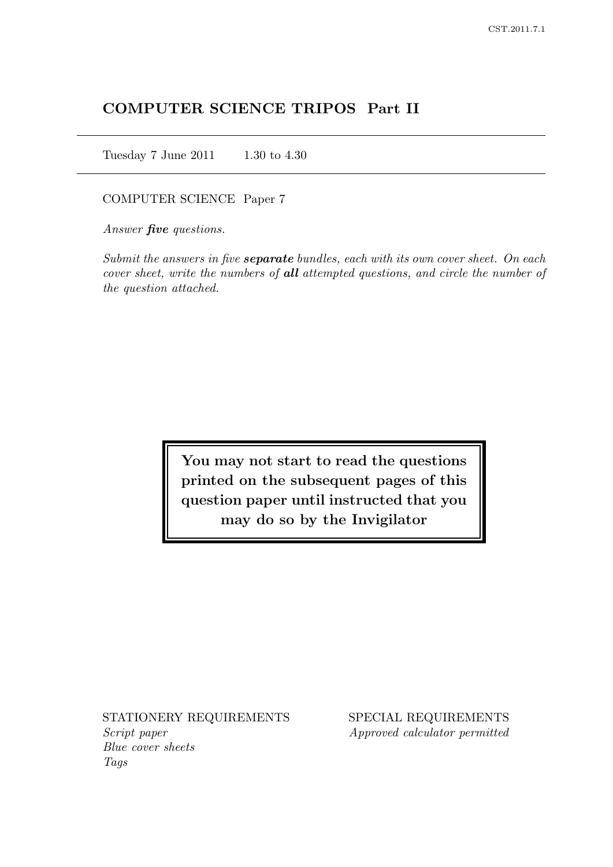# COMPUTER SCIENCE TRIPOS Part II

Tuesday 7 June 2011 1.30 to 4.30

### COMPUTER SCIENCE Paper 7

Answer **five** questions.

Submit the answers in five **separate** bundles, each with its own cover sheet. On each cover sheet, write the numbers of all attempted questions, and circle the number of the question attached.

> You may not start to read the questions printed on the subsequent pages of this question paper until instructed that you may do so by the Invigilator

Script paper Approved calculator permitted Blue cover sheets Tags

STATIONERY REQUIREMENTS SPECIAL REQUIREMENTS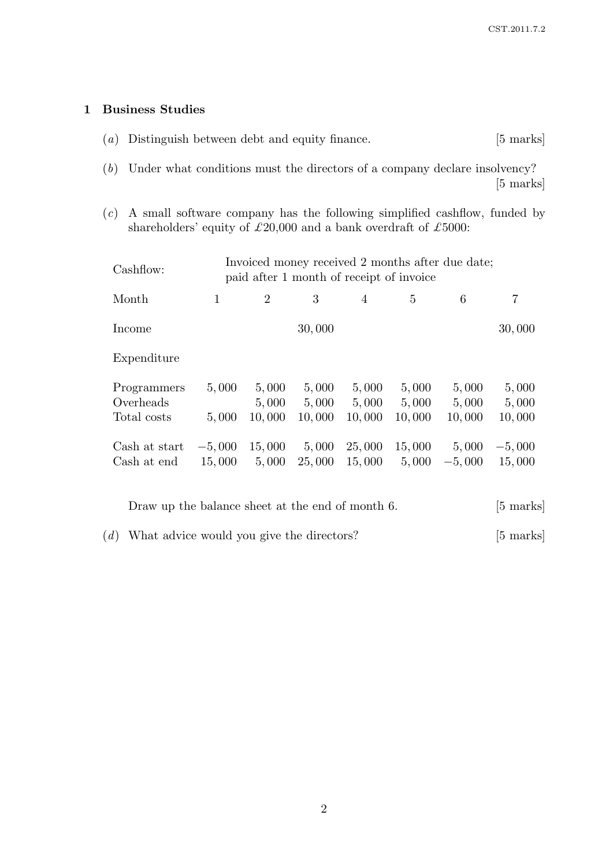## 1 Business Studies

- (a) Distinguish between debt and equity finance. [5 marks]
- (b) Under what conditions must the directors of a company declare insolvency? [5 marks]
- $(c)$  A small software company has the following simplified cashflow, funded by shareholders' equity of  $\pounds 20,\!000$  and a bank overdraft of  $\pounds 5000:$

| Cashflow:                               | Invoiced money received 2 months after due date;<br>paid after 1 month of receipt of invoice |                          |                          |                          |                          |                          |                          |
|-----------------------------------------|----------------------------------------------------------------------------------------------|--------------------------|--------------------------|--------------------------|--------------------------|--------------------------|--------------------------|
| Month                                   | $\mathbf{1}$                                                                                 | $\overline{2}$           | 3                        | $\overline{4}$           | 5                        | 6                        | 7                        |
| Income                                  |                                                                                              |                          | 30,000                   |                          |                          |                          | 30,000                   |
| Expenditure                             |                                                                                              |                          |                          |                          |                          |                          |                          |
| Programmers<br>Overheads<br>Total costs | 5,000<br>5,000                                                                               | 5,000<br>5,000<br>10,000 | 5,000<br>5,000<br>10,000 | 5,000<br>5,000<br>10,000 | 5,000<br>5,000<br>10,000 | 5,000<br>5,000<br>10,000 | 5,000<br>5,000<br>10,000 |
| Cash at start<br>Cash at end            | $-5,000$<br>15,000                                                                           | 15,000<br>5,000          | 5,000<br>25,000          | 25,000<br>15,000         | 15,000<br>5,000          | 5,000<br>$-5,000$        | $-5,000$<br>15,000       |

| Draw up the balance sheet at the end of month 6. | $[5 \text{ marks}]$ |
|--------------------------------------------------|---------------------|
| $(d)$ What advice would you give the directors?  | $[5 \text{ marks}]$ |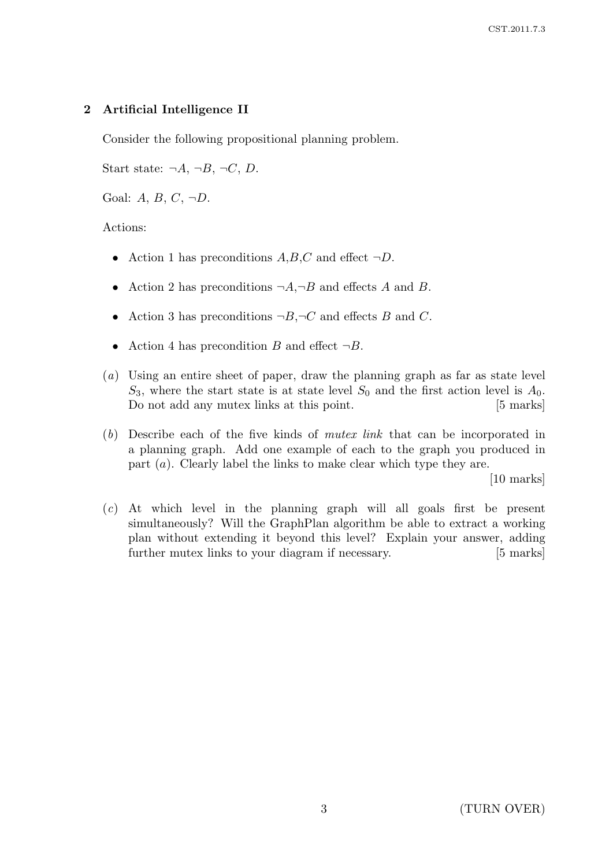## 2 Artificial Intelligence II

Consider the following propositional planning problem.

Start state:  $\neg A, \neg B, \neg C, D$ .

Goal:  $A, B, C, \neg D$ .

### Actions:

- Action 1 has preconditions  $A, B, C$  and effect  $\neg D$ .
- Action 2 has preconditions  $\neg A, \neg B$  and effects A and B.
- Action 3 has preconditions  $\neg B, \neg C$  and effects B and C.
- Action 4 has precondition B and effect  $\neg B$ .
- (a) Using an entire sheet of paper, draw the planning graph as far as state level  $S_3$ , where the start state is at state level  $S_0$  and the first action level is  $A_0$ . Do not add any mutex links at this point. [5 marks]
- (b) Describe each of the five kinds of mutex link that can be incorporated in a planning graph. Add one example of each to the graph you produced in part  $(a)$ . Clearly label the links to make clear which type they are.

[10 marks]

(c) At which level in the planning graph will all goals first be present simultaneously? Will the GraphPlan algorithm be able to extract a working plan without extending it beyond this level? Explain your answer, adding further mutex links to your diagram if necessary. [5 marks]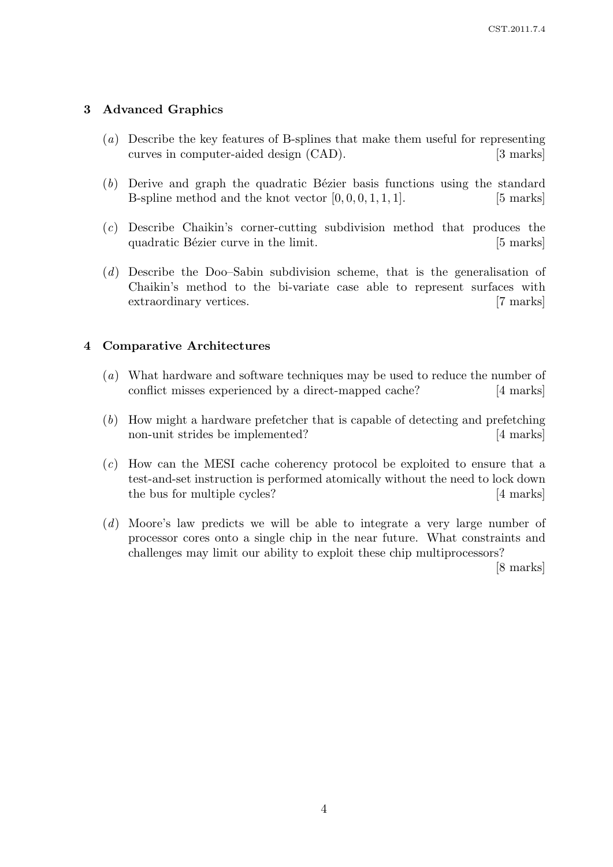## 3 Advanced Graphics

- (a) Describe the key features of B-splines that make them useful for representing curves in computer-aided design (CAD). [3 marks]
- $(b)$  Derive and graph the quadratic Bézier basis functions using the standard B-spline method and the knot vector  $[0, 0, 0, 1, 1, 1]$ . [5 marks]
- (c) Describe Chaikin's corner-cutting subdivision method that produces the quadratic Bézier curve in the limit. [5 marks]
- (d) Describe the Doo–Sabin subdivision scheme, that is the generalisation of Chaikin's method to the bi-variate case able to represent surfaces with extraordinary vertices. [7 marks]

## 4 Comparative Architectures

- (a) What hardware and software techniques may be used to reduce the number of conflict misses experienced by a direct-mapped cache? [4 marks]
- (b) How might a hardware prefetcher that is capable of detecting and prefetching non-unit strides be implemented? [4 marks]
- (c) How can the MESI cache coherency protocol be exploited to ensure that a test-and-set instruction is performed atomically without the need to lock down the bus for multiple cycles? [4 marks]
- (d) Moore's law predicts we will be able to integrate a very large number of processor cores onto a single chip in the near future. What constraints and challenges may limit our ability to exploit these chip multiprocessors?

[8 marks]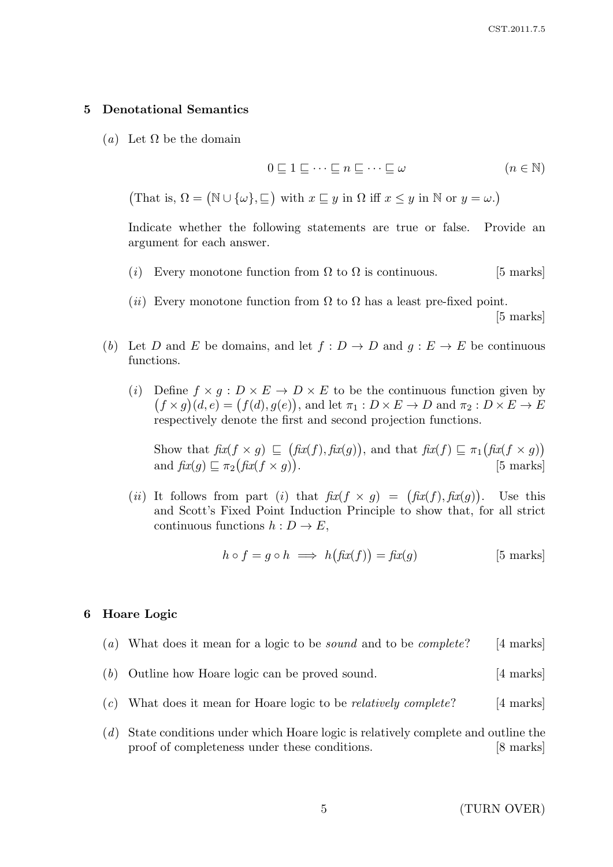### 5 Denotational Semantics

(a) Let  $\Omega$  be the domain

$$
0 \sqsubseteq 1 \sqsubseteq \cdots \sqsubseteq n \sqsubseteq \cdots \sqsubseteq \omega \qquad (n \in \mathbb{N})
$$

(That is,  $\Omega = (\mathbb{N} \cup \{\omega\}, \sqsubseteq)$  with  $x \sqsubseteq y$  in  $\Omega$  iff  $x \leq y$  in  $\mathbb{N}$  or  $y = \omega$ .)

Indicate whether the following statements are true or false. Provide an argument for each answer.

- (i) Every monotone function from  $\Omega$  to  $\Omega$  is continuous. [5 marks]
- (ii) Every monotone function from  $\Omega$  to  $\Omega$  has a least pre-fixed point.

[5 marks]

- (b) Let D and E be domains, and let  $f: D \to D$  and  $q: E \to E$  be continuous functions.
	- (i) Define  $f \times g : D \times E \to D \times E$  to be the continuous function given by  $(f \times g)(d, e) = (f(d), g(e)),$  and let  $\pi_1 : D \times E \to D$  and  $\pi_2 : D \times E \to E$ respectively denote the first and second projection functions.

Show that  $\operatorname{fix}(f \times g) \subseteq (\operatorname{fix}(f), \operatorname{fix}(g))$ , and that  $\operatorname{fix}(f) \subseteq \pi_1(\operatorname{fix}(f \times g))$ and  $fix(g) \sqsubseteq \pi_2(fix(f \times g))$ [5 marks]

(*ii*) It follows from part (*i*) that  $\text{fix}(f \times g) = (\text{fix}(f), \text{fix}(g))$ . Use this and Scott's Fixed Point Induction Principle to show that, for all strict continuous functions  $h: D \to E$ ,

$$
h \circ f = g \circ h \implies h(fx(f)) = f x(g) \tag{5 marks}
$$

### 6 Hoare Logic

- (a) What does it mean for a logic to be *sound* and to be *complete*? [4 marks]
- (b) Outline how Hoare logic can be proved sound. [4 marks]
- (c) What does it mean for Hoare logic to be *relatively complete*? [4 marks]
- (d) State conditions under which Hoare logic is relatively complete and outline the proof of completeness under these conditions. [8 marks]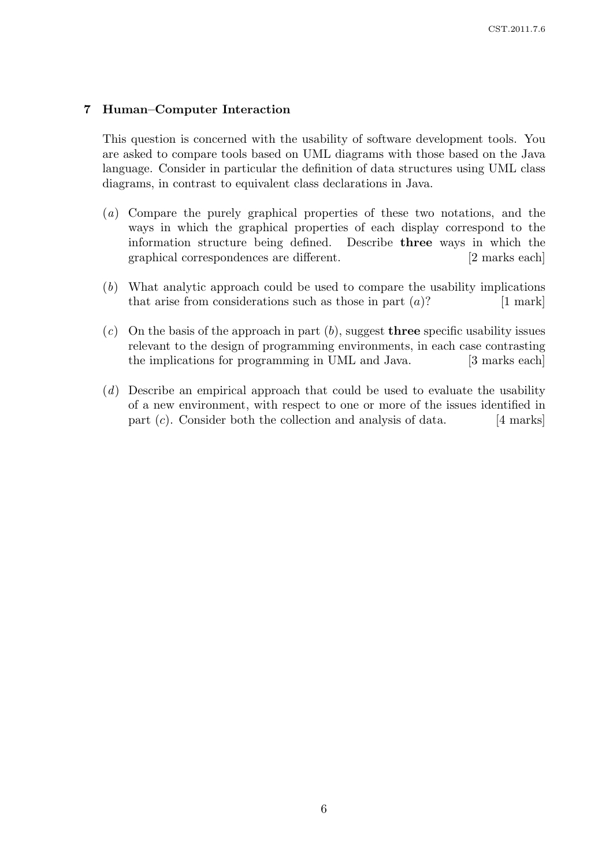### 7 Human–Computer Interaction

This question is concerned with the usability of software development tools. You are asked to compare tools based on UML diagrams with those based on the Java language. Consider in particular the definition of data structures using UML class diagrams, in contrast to equivalent class declarations in Java.

- (a) Compare the purely graphical properties of these two notations, and the ways in which the graphical properties of each display correspond to the information structure being defined. Describe three ways in which the graphical correspondences are different. [2 marks each]
- (b) What analytic approach could be used to compare the usability implications that arise from considerations such as those in part  $(a)$ ? [1 mark]
- $(c)$  On the basis of the approach in part  $(b)$ , suggest **three** specific usability issues relevant to the design of programming environments, in each case contrasting the implications for programming in UML and Java. [3 marks each]
- (d) Describe an empirical approach that could be used to evaluate the usability of a new environment, with respect to one or more of the issues identified in part  $(c)$ . Consider both the collection and analysis of data. [4 marks]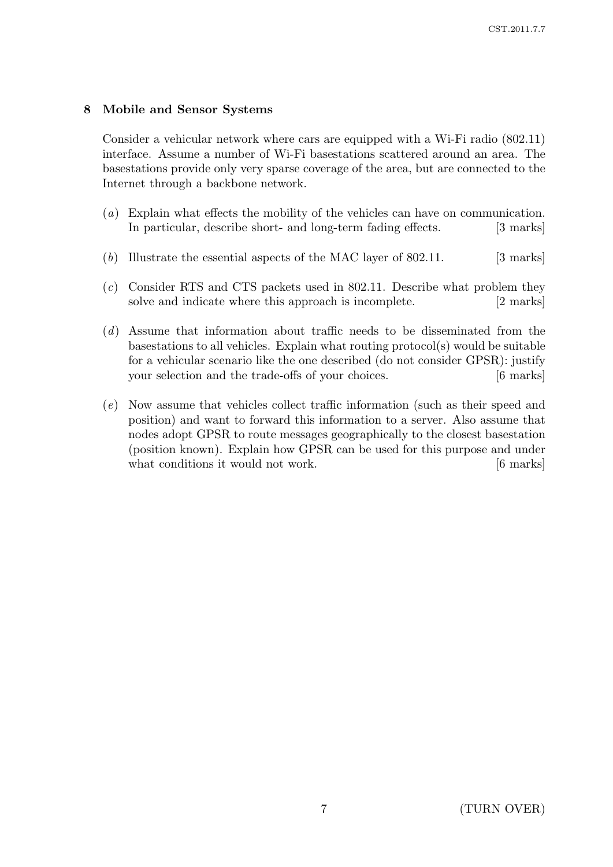## 8 Mobile and Sensor Systems

Consider a vehicular network where cars are equipped with a Wi-Fi radio (802.11) interface. Assume a number of Wi-Fi basestations scattered around an area. The basestations provide only very sparse coverage of the area, but are connected to the Internet through a backbone network.

- (a) Explain what effects the mobility of the vehicles can have on communication. In particular, describe short- and long-term fading effects. [3 marks]
- (b) Illustrate the essential aspects of the MAC layer of  $802.11$ . [3 marks]
- (c) Consider RTS and CTS packets used in 802.11. Describe what problem they solve and indicate where this approach is incomplete. [2 marks]
- (d) Assume that information about traffic needs to be disseminated from the basestations to all vehicles. Explain what routing protocol(s) would be suitable for a vehicular scenario like the one described (do not consider GPSR): justify your selection and the trade-offs of your choices. [6 marks]
- (e) Now assume that vehicles collect traffic information (such as their speed and position) and want to forward this information to a server. Also assume that nodes adopt GPSR to route messages geographically to the closest basestation (position known). Explain how GPSR can be used for this purpose and under what conditions it would not work. [6 marks]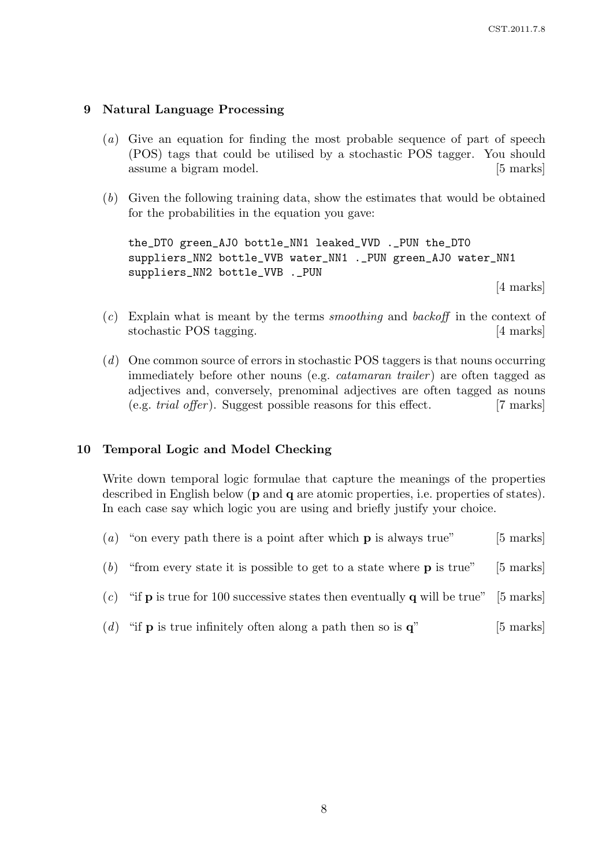### 9 Natural Language Processing

- (a) Give an equation for finding the most probable sequence of part of speech (POS) tags that could be utilised by a stochastic POS tagger. You should assume a bigram model. [5 marks]
- (b) Given the following training data, show the estimates that would be obtained for the probabilities in the equation you gave:

the\_DT0 green\_AJ0 bottle\_NN1 leaked\_VVD .\_PUN the\_DT0 suppliers\_NN2 bottle\_VVB water\_NN1 .\_PUN green\_AJ0 water\_NN1 suppliers\_NN2 bottle\_VVB .\_PUN

[4 marks]

- $(c)$  Explain what is meant by the terms *smoothing* and *backoff* in the context of stochastic POS tagging. [4 marks]
- (d) One common source of errors in stochastic POS taggers is that nouns occurring immediately before other nouns (e.g. *catamaran trailer*) are often tagged as adjectives and, conversely, prenominal adjectives are often tagged as nouns  $(e.g. trial offer)$ . Suggest possible reasons for this effect. [7 marks]

#### 10 Temporal Logic and Model Checking

Write down temporal logic formulae that capture the meanings of the properties described in English below (p and q are atomic properties, i.e. properties of states). In each case say which logic you are using and briefly justify your choice.

- (a) "on every path there is a point after which  $p$  is always true" [5 marks] (b) "from every state it is possible to get to a state where  $p$  is true" [5 marks]
- (c) "if **p** is true for 100 successive states then eventually **q** will be true" [5 marks]
- (d) "if **p** is true infinitely often along a path then so is  $\mathbf{q}$ " [5 marks]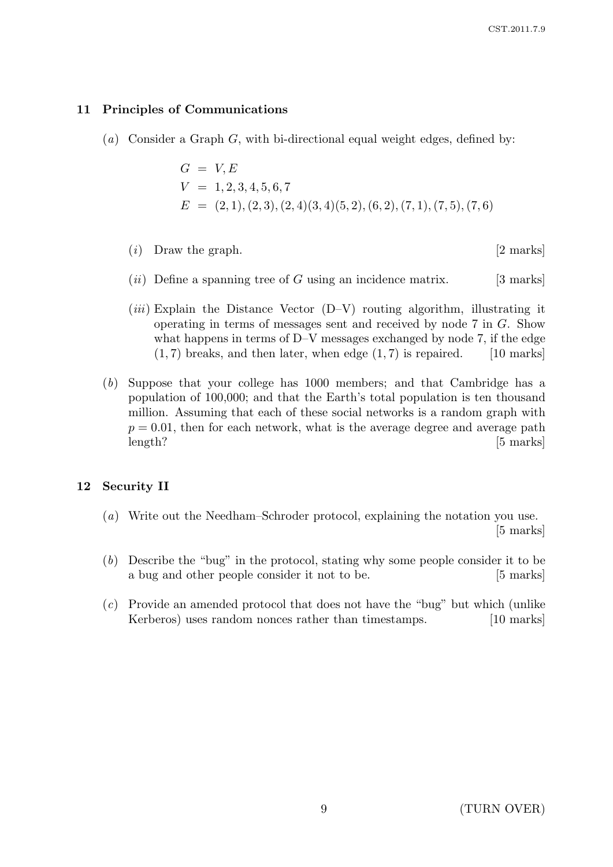## 11 Principles of Communications

(a) Consider a Graph G, with bi-directional equal weight edges, defined by:

$$
G = V, E
$$
  
\n
$$
V = 1, 2, 3, 4, 5, 6, 7
$$
  
\n
$$
E = (2, 1), (2, 3), (2, 4)(3, 4)(5, 2), (6, 2), (7, 1), (7, 5), (7, 6)
$$

- $(i)$  Draw the graph. [2 marks]
- $(ii)$  Define a spanning tree of G using an incidence matrix. [3 marks]
- $(iii)$  Explain the Distance Vector  $(D-V)$  routing algorithm, illustrating it operating in terms of messages sent and received by node 7 in G. Show what happens in terms of D–V messages exchanged by node 7, if the edge  $(1, 7)$  breaks, and then later, when edge  $(1, 7)$  is repaired. [10 marks]
- (b) Suppose that your college has 1000 members; and that Cambridge has a population of 100,000; and that the Earth's total population is ten thousand million. Assuming that each of these social networks is a random graph with  $p = 0.01$ , then for each network, what is the average degree and average path length? [5 marks]

## 12 Security II

- (a) Write out the Needham–Schroder protocol, explaining the notation you use. [5 marks]
- (b) Describe the "bug" in the protocol, stating why some people consider it to be a bug and other people consider it not to be. [5 marks]
- (c) Provide an amended protocol that does not have the "bug" but which (unlike Kerberos) uses random nonces rather than timestamps. [10 marks]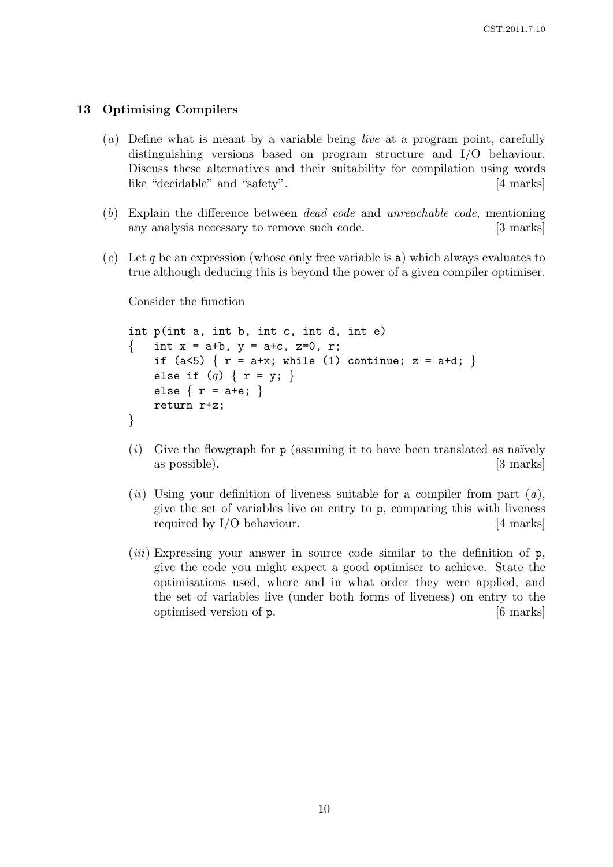### 13 Optimising Compilers

- (a) Define what is meant by a variable being live at a program point, carefully distinguishing versions based on program structure and I/O behaviour. Discuss these alternatives and their suitability for compilation using words like "decidable" and "safety". [4 marks]
- (b) Explain the difference between dead code and unreachable code, mentioning any analysis necessary to remove such code. [3 marks]
- $(c)$  Let q be an expression (whose only free variable is a) which always evaluates to true although deducing this is beyond the power of a given compiler optimiser.

Consider the function

```
int p(int a, int b, int c, int d, int e)
{ int x = a + b, y = a + c, z = 0, r;
    if (a<5) \{ r = a+x; \text{ while } (1) \text{ continue}; z = a+d; \}else if (q) \{ r = y; \}else \{ r = a + e; \}return r+z;
}
```
- $(i)$  Give the flowgraph for p (assuming it to have been translated as naïvely as possible). [3 marks]
- (*ii*) Using your definition of liveness suitable for a compiler from part  $(a)$ , give the set of variables live on entry to p, comparing this with liveness required by I/O behaviour. [4 marks]
- (*iii*) Expressing your answer in source code similar to the definition of  $p$ , give the code you might expect a good optimiser to achieve. State the optimisations used, where and in what order they were applied, and the set of variables live (under both forms of liveness) on entry to the optimised version of p. [6 marks]